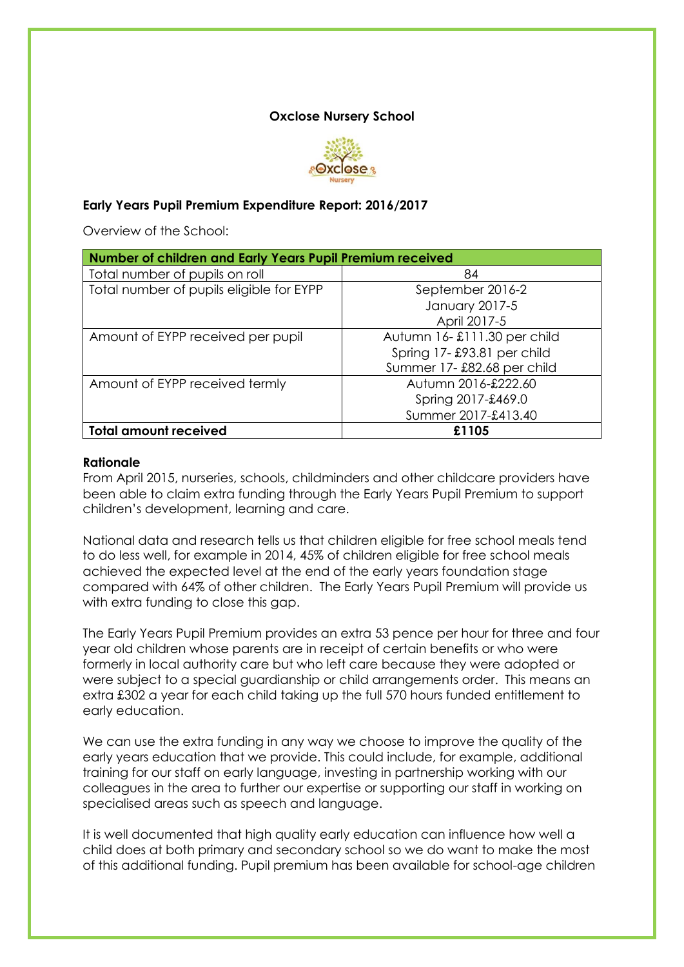#### **Oxclose Nursery School**



### **Early Years Pupil Premium Expenditure Report: 2016/2017**

Overview of the School:

| Number of children and Early Years Pupil Premium received |                             |  |  |
|-----------------------------------------------------------|-----------------------------|--|--|
| Total number of pupils on roll                            | 84                          |  |  |
| Total number of pupils eligible for EYPP                  | September 2016-2            |  |  |
|                                                           | January 2017-5              |  |  |
|                                                           | April 2017-5                |  |  |
| Amount of EYPP received per pupil                         | Autumn 16-£111.30 per child |  |  |
|                                                           | Spring 17-£93.81 per child  |  |  |
|                                                           | Summer 17-£82.68 per child  |  |  |
| Amount of EYPP received termly                            | Autumn 2016-£222.60         |  |  |
|                                                           | Spring 2017-£469.0          |  |  |
|                                                           | Summer 2017-£413.40         |  |  |
| <b>Total amount received</b>                              | £1105                       |  |  |

#### **Rationale**

From April 2015, nurseries, schools, childminders and other childcare providers have been able to claim extra funding through the Early Years Pupil Premium to support children's development, learning and care.

National data and research tells us that children eligible for free school meals tend to do less well, for example in 2014, 45% of children eligible for free school meals achieved the expected level at the end of the early years foundation stage compared with 64% of other children. The Early Years Pupil Premium will provide us with extra funding to close this gap.

The Early Years Pupil Premium provides an extra 53 pence per hour for three and four year old children whose parents are in receipt of certain benefits or who were formerly in local authority care but who left care because they were adopted or were subject to a special guardianship or child arrangements order. This means an extra £302 a year for each child taking up the full 570 hours funded entitlement to early education.

We can use the extra funding in any way we choose to improve the quality of the early years education that we provide. This could include, for example, additional training for our staff on early language, investing in partnership working with our colleagues in the area to further our expertise or supporting our staff in working on specialised areas such as speech and language.

It is well documented that high quality early education can influence how well a child does at both primary and secondary school so we do want to make the most of this additional funding. Pupil premium has been available for school-age children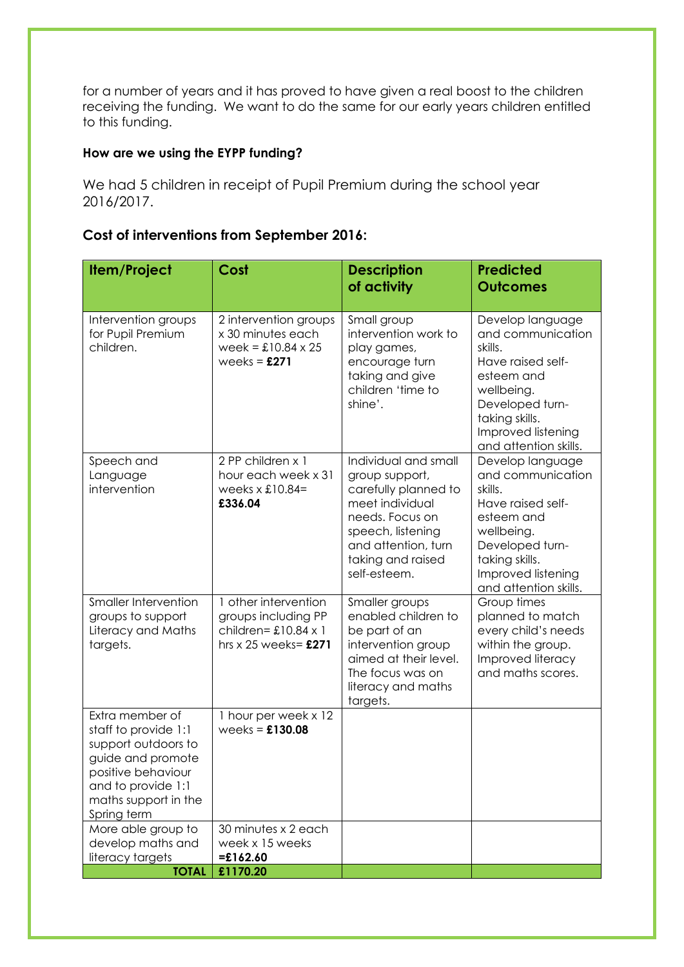for a number of years and it has proved to have given a real boost to the children receiving the funding. We want to do the same for our early years children entitled to this funding.

## **How are we using the EYPP funding?**

We had 5 children in receipt of Pupil Premium during the school year 2016/2017.

# **Cost of interventions from September 2016:**

| Item/Project                                                                                                                                                           | Cost                                                                                                   | <b>Description</b>                                                                                                                                                                    | <b>Predicted</b>                                                                                                                                                                      |
|------------------------------------------------------------------------------------------------------------------------------------------------------------------------|--------------------------------------------------------------------------------------------------------|---------------------------------------------------------------------------------------------------------------------------------------------------------------------------------------|---------------------------------------------------------------------------------------------------------------------------------------------------------------------------------------|
|                                                                                                                                                                        |                                                                                                        | of activity                                                                                                                                                                           | <b>Outcomes</b>                                                                                                                                                                       |
| Intervention groups<br>for Pupil Premium<br>children.                                                                                                                  | 2 intervention groups<br>x 30 minutes each<br>$week = £10.84 \times 25$<br>weeks = $£271$              | Small group<br>intervention work to<br>play games,<br>encourage turn<br>taking and give<br>children 'time to<br>shine'.                                                               | Develop language<br>and communication<br>skills.<br>Have raised self-<br>esteem and<br>wellbeing.<br>Developed turn-<br>taking skills.<br>Improved listening<br>and attention skills. |
| Speech and<br>Language<br>intervention                                                                                                                                 | 2 PP children x 1<br>hour each week x 31<br>weeks $x$ £10.84=<br>£336.04                               | Individual and small<br>group support,<br>carefully planned to<br>meet individual<br>needs. Focus on<br>speech, listening<br>and attention, turn<br>taking and raised<br>self-esteem. | Develop language<br>and communication<br>skills.<br>Have raised self-<br>esteem and<br>wellbeing.<br>Developed turn-<br>taking skills.<br>Improved listening<br>and attention skills. |
| Smaller Intervention<br>groups to support<br>Literacy and Maths<br>targets.                                                                                            | 1 other intervention<br>groups including PP<br>children= $£10.84 \times 1$<br>hrs $x 25$ weeks= $£271$ | Smaller groups<br>enabled children to<br>be part of an<br>intervention group<br>aimed at their level.<br>The focus was on<br>literacy and maths<br>targets.                           | Group times<br>planned to match<br>every child's needs<br>within the group.<br>Improved literacy<br>and maths scores.                                                                 |
| Extra member of<br>staff to provide 1:1<br>support outdoors to<br>guide and promote<br>positive behaviour<br>and to provide 1:1<br>maths support in the<br>Spring term | 1 hour per week x 12<br>weeks = $£130.08$                                                              |                                                                                                                                                                                       |                                                                                                                                                                                       |
| More able group to<br>develop maths and<br>literacy targets                                                                                                            | 30 minutes x 2 each<br>week x 15 weeks<br>$=£162.60$                                                   |                                                                                                                                                                                       |                                                                                                                                                                                       |
| <b>TOTAL</b>                                                                                                                                                           | £1170.20                                                                                               |                                                                                                                                                                                       |                                                                                                                                                                                       |